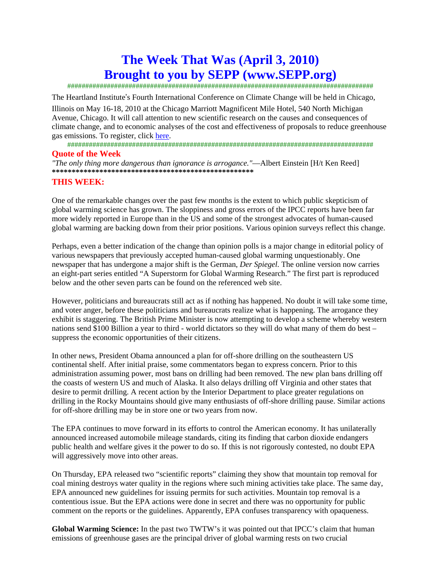# **The Week That Was (April 3, 2010) Brought to you by SEPP (www.SEPP.org)**

#####################################################################################

The Heartland Institute's Fourth International Conference on Climate Change will be held in Chicago,

Illinois on May 16-18, 2010 at the Chicago Marriott Magnificent Mile Hotel, 540 North Michigan Avenue, Chicago. It will call attention to new scientific research on the causes and consequences of climate change, and to economic analyses of the cost and effectiveness of proposals to reduce greenhouse gas emissions. To register, click here.

#####################################################################################

#### **Quote of the Week**

*"The only thing more dangerous than ignorance is arrogance."*—Albert Einstein [H/t Ken Reed] **\*\*\*\*\*\*\*\*\*\*\*\*\*\*\*\*\*\*\*\*\*\*\*\*\*\*\*\*\*\*\*\*\*\*\*\*\*\*\*\*\*\*\*\*\*\*\*\*\*\*\*** 

#### **THIS WEEK:**

One of the remarkable changes over the past few months is the extent to which public skepticism of global warming science has grown. The sloppiness and gross errors of the IPCC reports have been far more widely reported in Europe than in the US and some of the strongest advocates of human-caused global warming are backing down from their prior positions. Various opinion surveys reflect this change.

Perhaps, even a better indication of the change than opinion polls is a major change in editorial policy of various newspapers that previously accepted human-caused global warming unquestionably. One newspaper that has undergone a major shift is the German, *Der Spiegel.* The online version now carries an eight-part series entitled "A Superstorm for Global Warming Research." The first part is reproduced below and the other seven parts can be found on the referenced web site.

However, politicians and bureaucrats still act as if nothing has happened. No doubt it will take some time, and voter anger, before these politicians and bureaucrats realize what is happening. The arrogance they exhibit is staggering. The British Prime Minister is now attempting to develop a scheme whereby western nations send \$100 Billion a year to third - world dictators so they will do what many of them do best – suppress the economic opportunities of their citizens.

In other news, President Obama announced a plan for off-shore drilling on the southeastern US continental shelf. After initial praise, some commentators began to express concern. Prior to this administration assuming power, most bans on drilling had been removed. The new plan bans drilling off the coasts of western US and much of Alaska. It also delays drilling off Virginia and other states that desire to permit drilling. A recent action by the Interior Department to place greater regulations on drilling in the Rocky Mountains should give many enthusiasts of off-shore drilling pause. Similar actions for off-shore drilling may be in store one or two years from now.

The EPA continues to move forward in its efforts to control the American economy. It has unilaterally announced increased automobile mileage standards, citing its finding that carbon dioxide endangers public health and welfare gives it the power to do so. If this is not rigorously contested, no doubt EPA will aggressively move into other areas.

On Thursday, EPA released two "scientific reports" claiming they show that mountain top removal for coal mining destroys water quality in the regions where such mining activities take place. The same day, EPA announced new guidelines for issuing permits for such activities. Mountain top removal is a contentious issue. But the EPA actions were done in secret and there was no opportunity for public comment on the reports or the guidelines. Apparently, EPA confuses transparency with opaqueness.

**Global Warming Science:** In the past two TWTW's it was pointed out that IPCC's claim that human emissions of greenhouse gases are the principal driver of global warming rests on two crucial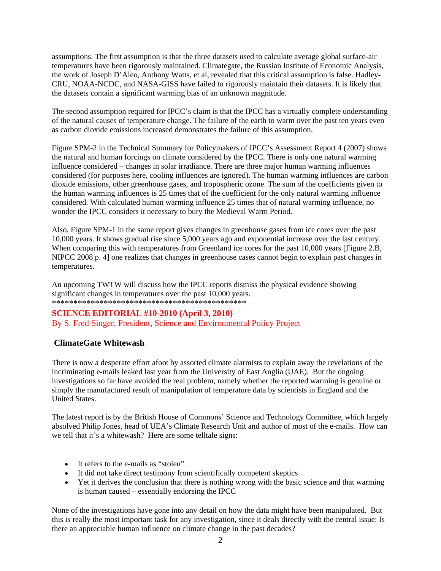assumptions. The first assumption is that the three datasets used to calculate average global surface-air temperatures have been rigorously maintained. Climategate, the Russian Institute of Economic Analysis, the work of Joseph D'Aleo, Anthony Watts, et al, revealed that this critical assumption is false. Hadley-CRU, NOAA-NCDC, and NASA-GISS have failed to rigorously maintain their datasets. It is likely that the datasets contain a significant warming bias of an unknown magnitude.

The second assumption required for IPCC's claim is that the IPCC has a virtually complete understanding of the natural causes of temperature change. The failure of the earth to warm over the past ten years even as carbon dioxide emissions increased demonstrates the failure of this assumption.

Figure SPM-2 in the Technical Summary for Policymakers of IPCC's Assessment Report 4 (2007) shows the natural and human forcings on climate considered by the IPCC. There is only one natural warming influence considered – changes in solar irradiance. There are three major human warming influences considered (for purposes here, cooling influences are ignored). The human warming influences are carbon dioxide emissions, other greenhouse gases, and tropospheric ozone. The sum of the coefficients given to the human warming influences is 25 times that of the coefficient for the only natural warming influence considered. With calculated human warming influence 25 times that of natural warming influence, no wonder the IPCC considers it necessary to bury the Medieval Warm Period.

Also, Figure SPM-1 in the same report gives changes in greenhouse gases from ice cores over the past 10,000 years. It shows gradual rise since 5,000 years ago and exponential increase over the last century. When comparing this with temperatures from Greenland ice cores for the past 10,000 years [Figure 2.B, NIPCC 2008 p. 4] one realizes that changes in greenhouse cases cannot begin to explain past changes in temperatures.

An upcoming TWTW will discuss how the IPCC reports dismiss the physical evidence showing significant changes in temperatures over the past 10,000 years. \*\*\*\*\*\*\*\*\*\*\*\*\*\*\*\*\*\*\*\*\*\*\*\*\*\*\*\*\*\*\*\*\*\*\*\*\*\*\*\*\*\*\*\*\*

## **SCIENCE EDITORIAL #10-2010 (April 3, 2010)**

By S. Fred Singer, President, Science and Environmental Policy Project

## **ClimateGate Whitewash**

There is now a desperate effort afoot by assorted climate alarmists to explain away the revelations of the incriminating e-mails leaked last year from the University of East Anglia (UAE). But the ongoing investigations so far have avoided the real problem, namely whether the reported warming is genuine or simply the manufactured result of manipulation of temperature data by scientists in England and the United States.

The latest report is by the British House of Commons' Science and Technology Committee, which largely absolved Philip Jones, head of UEA's Climate Research Unit and author of most of the e-mails. How can we tell that it's a whitewash? Here are some telltale signs:

- It refers to the e-mails as "stolen"
- It did not take direct testimony from scientifically competent skeptics
- Yet it derives the conclusion that there is nothing wrong with the basic science and that warming is human caused – essentially endorsing the IPCC

None of the investigations have gone into any detail on how the data might have been manipulated. But this is really the most important task for any investigation, since it deals directly with the central issue: Is there an appreciable human influence on climate change in the past decades?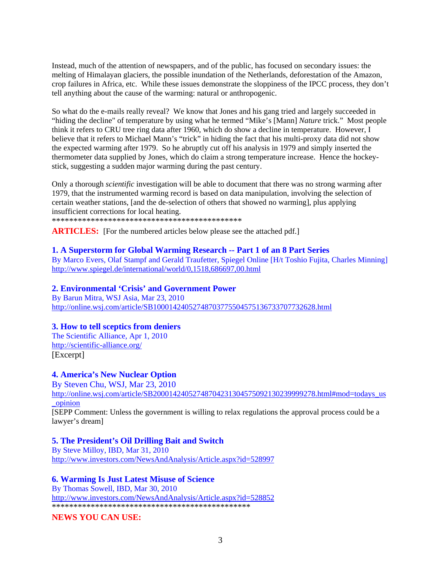Instead, much of the attention of newspapers, and of the public, has focused on secondary issues: the melting of Himalayan glaciers, the possible inundation of the Netherlands, deforestation of the Amazon, crop failures in Africa, etc. While these issues demonstrate the sloppiness of the IPCC process, they don't tell anything about the cause of the warming: natural or anthropogenic.

So what do the e-mails really reveal? We know that Jones and his gang tried and largely succeeded in "hiding the decline" of temperature by using what he termed "Mike's [Mann] *Nature* trick." Most people think it refers to CRU tree ring data after 1960, which do show a decline in temperature. However, I believe that it refers to Michael Mann's "trick" in hiding the fact that his multi-proxy data did not show the expected warming after 1979. So he abruptly cut off his analysis in 1979 and simply inserted the thermometer data supplied by Jones, which do claim a strong temperature increase. Hence the hockeystick, suggesting a sudden major warming during the past century.

Only a thorough *scientific* investigation will be able to document that there was no strong warming after 1979, that the instrumented warming record is based on data manipulation, involving the selection of certain weather stations, [and the de-selection of others that showed no warming], plus applying insufficient corrections for local heating.

\*\*\*\*\*\*\*\*\*\*\*\*\*\*\*\*\*\*\*\*\*\*\*\*\*\*\*\*\*\*\*\*\*\*\*\*\*\*\*\*\*\*\*\*

**ARTICLES:** [For the numbered articles below please see the attached pdf.]

#### **1. A Superstorm for Global Warming Research -- Part 1 of an 8 Part Series**

By Marco Evers, Olaf Stampf and Gerald Traufetter, Spiegel Online [H/t Toshio Fujita, Charles Minning] http://www.spiegel.de/international/world/0,1518,686697,00.html

#### **2. Environmental 'Crisis' and Government Power**

By Barun Mitra, WSJ Asia, Mar 23, 2010 http://online.wsj.com/article/SB10001424052748703775504575136733707732628.html

#### **3. How to tell sceptics from deniers**

The Scientific Alliance, Apr 1, 2010 http://scientific-alliance.org/ [Excerpt]

#### **4. America's New Nuclear Option**

By Steven Chu, WSJ, Mar 23, 2010 http://online.wsj.com/article/SB20001424052748704231304575092130239999278.html#mod=todays\_us \_opinion [SEPP Comment: Unless the government is willing to relax regulations the approval process could be a lawyer's dream]

#### **5. The President's Oil Drilling Bait and Switch**

By Steve Milloy, IBD, Mar 31, 2010 http://www.investors.com/NewsAndAnalysis/Article.aspx?id=528997

**6. Warming Is Just Latest Misuse of Science**  By Thomas Sowell, IBD, Mar 30, 2010 http://www.investors.com/NewsAndAnalysis/Article.aspx?id=528852 \*\*\*\*\*\*\*\*\*\*\*\*\*\*\*\*\*\*\*\*\*\*\*\*\*\*\*\*\*\*\*\*\*\*\*\*\*\*\*\*\*\*\*\*\*\*

**NEWS YOU CAN USE:**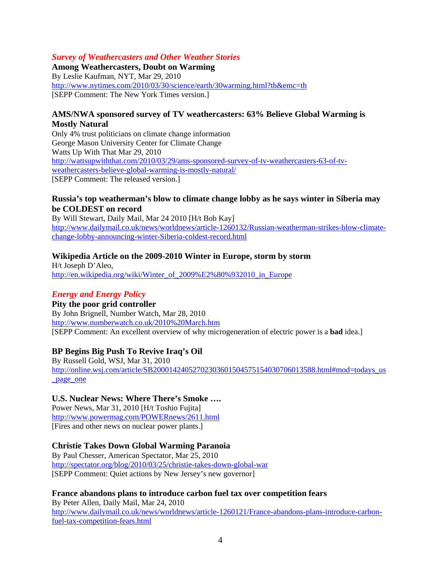## *Survey of Weathercasters and Other Weather Stories*

**Among Weathercasters, Doubt on Warming**  By Leslie Kaufman, NYT, Mar 29, 2010 http://www.nytimes.com/2010/03/30/science/earth/30warming.html?th&emc=th [SEPP Comment: The New York Times version.]

#### **AMS/NWA sponsored survey of TV weathercasters: 63% Believe Global Warming is Mostly Natural**

Only 4% trust politicians on climate change information George Mason University Center for Climate Change Watts Up With That Mar 29, 2010 http://wattsupwiththat.com/2010/03/29/ams-sponsored-survey-of-tv-weathercasters-63-of-tvweathercasters-believe-global-warming-is-mostly-natural/ [SEPP Comment: The released version.]

## **Russia's top weatherman's blow to climate change lobby as he says winter in Siberia may be COLDEST on record**

By Will Stewart, Daily Mail, Mar 24 2010 [H/t Bob Kay] http://www.dailymail.co.uk/news/worldnews/article-1260132/Russian-weatherman-strikes-blow-climatechange-lobby-announcing-winter-Siberia-coldest-record.html

## **Wikipedia Article on the 2009-2010 Winter in Europe, storm by storm**

H/t Joseph D'Aleo, http://en.wikipedia.org/wiki/Winter\_of\_2009%E2%80%932010\_in\_Europe

# *Energy and Energy Policy*

**Pity the poor grid controller**  By John Brignell, Number Watch, Mar 28, 2010 http://www.numberwatch.co.uk/2010%20March.htm [SEPP Comment: An excellent overview of why microgeneration of electric power is a **bad** idea.]

# **BP Begins Big Push To Revive Iraq's Oil**

By Russell Gold, WSJ, Mar 31, 2010 http://online.wsj.com/article/SB20001424052702303601504575154030706013588.html#mod=todays\_us \_page\_one

## **U.S. Nuclear News: Where There's Smoke ….**

Power News, Mar 31, 2010 [H/t Toshio Fujita] http://www.powermag.com/POWERnews/2611.html [Fires and other news on nuclear power plants.]

## **Christie Takes Down Global Warming Paranoia**

By Paul Chesser, American Spectator, Mar 25, 2010 http://spectator.org/blog/2010/03/25/christie-takes-down-global-war [SEPP Comment: Quiet actions by New Jersey's new governor]

**France abandons plans to introduce carbon fuel tax over competition fears**  By Peter Allen, Daily Mail, Mar 24, 2010

http://www.dailymail.co.uk/news/worldnews/article-1260121/France-abandons-plans-introduce-carbonfuel-tax-competition-fears.html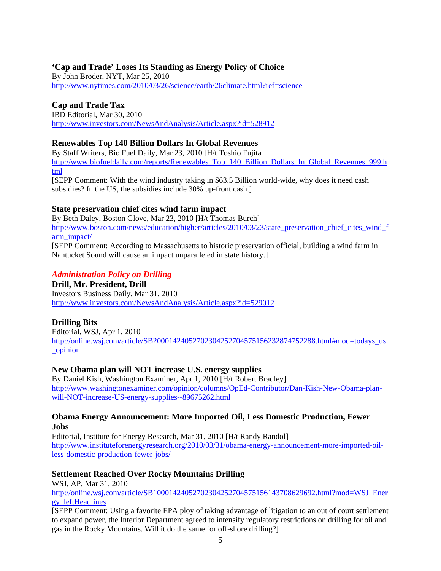# **'Cap and Trade' Loses Its Standing as Energy Policy of Choice**

By John Broder, NYT, Mar 25, 2010 http://www.nytimes.com/2010/03/26/science/earth/26climate.html?ref=science

# **Cap and Trade Tax**

IBD Editorial, Mar 30, 2010 http://www.investors.com/NewsAndAnalysis/Article.aspx?id=528912

# **Renewables Top 140 Billion Dollars In Global Revenues**

By Staff Writers, Bio Fuel Daily, Mar 23, 2010 [H/t Toshio Fujita] http://www.biofueldaily.com/reports/Renewables Top 140 Billion Dollars In Global Revenues 999.h tml

[SEPP Comment: With the wind industry taking in \$63.5 Billion world-wide, why does it need cash subsidies? In the US, the subsidies include 30% up-front cash.]

## **State preservation chief cites wind farm impact**

By Beth Daley, Boston Glove, Mar 23, 2010 [H/t Thomas Burch] http://www.boston.com/news/education/higher/articles/2010/03/23/state\_preservation\_chief\_cites\_wind\_f\_ arm\_impact/

[SEPP Comment: According to Massachusetts to historic preservation official, building a wind farm in Nantucket Sound will cause an impact unparalleled in state history.]

## *Administration Policy on Drilling*

#### **Drill, Mr. President, Drill**

Investors Business Daily, Mar 31, 2010 http://www.investors.com/NewsAndAnalysis/Article.aspx?id=529012

# **Drilling Bits**

Editorial, WSJ, Apr 1, 2010 http://online.wsj.com/article/SB20001424052702304252704575156232874752288.html#mod=todays\_us \_opinion

# **New Obama plan will NOT increase U.S. energy supplies**

By Daniel Kish, Washington Examiner, Apr 1, 2010 [H/t Robert Bradley] http://www.washingtonexaminer.com/opinion/columns/OpEd-Contributor/Dan-Kish-New-Obama-planwill-NOT-increase-US-energy-supplies--89675262.html

## **Obama Energy Announcement: More Imported Oil, Less Domestic Production, Fewer Jobs**

Editorial, Institute for Energy Research, Mar 31, 2010 [H/t Randy Randol] http://www.instituteforenergyresearch.org/2010/03/31/obama-energy-announcement-more-imported-oilless-domestic-production-fewer-jobs/

# **Settlement Reached Over Rocky Mountains Drilling**

WSJ, AP, Mar 31, 2010

http://online.wsj.com/article/SB10001424052702304252704575156143708629692.html?mod=WSJ\_Ener gy\_leftHeadlines

[SEPP Comment: Using a favorite EPA ploy of taking advantage of litigation to an out of court settlement to expand power, the Interior Department agreed to intensify regulatory restrictions on drilling for oil and gas in the Rocky Mountains. Will it do the same for off-shore drilling?]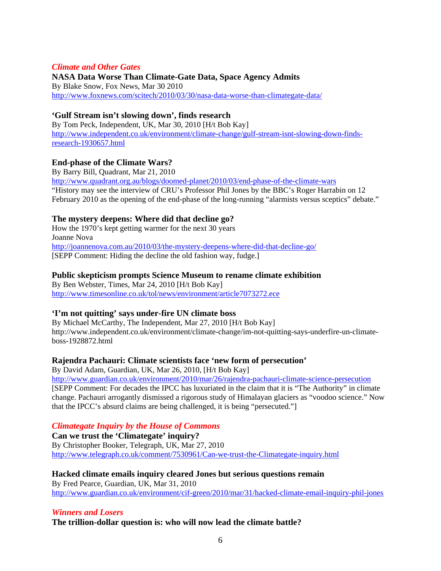## *Climate and Other Gates*

**NASA Data Worse Than Climate-Gate Data, Space Agency Admits**  By Blake Snow, Fox News, Mar 30 2010 http://www.foxnews.com/scitech/2010/03/30/nasa-data-worse-than-climategate-data/

#### **'Gulf Stream isn't slowing down', finds research**

By Tom Peck, Independent, UK, Mar 30, 2010 [H/t Bob Kay] http://www.independent.co.uk/environment/climate-change/gulf-stream-isnt-slowing-down-findsresearch-1930657.html

## **End-phase of the Climate Wars?**

By Barry Bill, Quadrant, Mar 21, 2010 http://www.quadrant.org.au/blogs/doomed-planet/2010/03/end-phase-of-the-climate-wars "History may see the interview of CRU's Professor Phil Jones by the BBC's Roger Harrabin on 12 February 2010 as the opening of the end-phase of the long-running "alarmists versus sceptics" debate."

## **The mystery deepens: Where did that decline go?**

How the 1970's kept getting warmer for the next 30 years Joanne Nova http://joannenova.com.au/2010/03/the-mystery-deepens-where-did-that-decline-go/ [SEPP Comment: Hiding the decline the old fashion way, fudge.]

## **Public skepticism prompts Science Museum to rename climate exhibition**

By Ben Webster, Times, Mar 24, 2010 [H/t Bob Kay] http://www.timesonline.co.uk/tol/news/environment/article7073272.ece

## **'I'm not quitting' says under-fire UN climate boss**

By Michael McCarthy, The Independent, Mar 27, 2010 [H/t Bob Kay] http://www.independent.co.uk/environment/climate-change/im-not-quitting-says-underfire-un-climateboss-1928872.html

## **Rajendra Pachauri: Climate scientists face 'new form of persecution'**

By David Adam, Guardian, UK, Mar 26, 2010, [H/t Bob Kay] http://www.guardian.co.uk/environment/2010/mar/26/rajendra-pachauri-climate-science-persecution [SEPP Comment: For decades the IPCC has luxuriated in the claim that it is "The Authority" in climate change. Pachauri arrogantly dismissed a rigorous study of Himalayan glaciers as "voodoo science." Now that the IPCC's absurd claims are being challenged, it is being "persecuted."]

## *Climategate Inquiry by the House of Commons*

**Can we trust the 'Climategate' inquiry?**  By Christopher Booker, Telegraph, UK, Mar 27, 2010 http://www.telegraph.co.uk/comment/7530961/Can-we-trust-the-Climategate-inquiry.html

**Hacked climate emails inquiry cleared Jones but serious questions remain**  By Fred Pearce, Guardian, UK, Mar 31, 2010 http://www.guardian.co.uk/environment/cif-green/2010/mar/31/hacked-climate-email-inquiry-phil-jones

## *Winners and Losers*

**The trillion-dollar question is: who will now lead the climate battle?**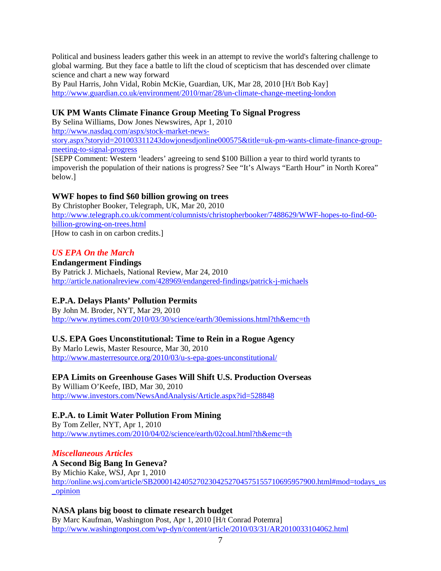Political and business leaders gather this week in an attempt to revive the world's faltering challenge to global warming. But they face a battle to lift the cloud of scepticism that has descended over climate science and chart a new way forward

By Paul Harris, John Vidal, Robin McKie, Guardian, UK, Mar 28, 2010 [H/t Bob Kay] http://www.guardian.co.uk/environment/2010/mar/28/un-climate-change-meeting-london

# **UK PM Wants Climate Finance Group Meeting To Signal Progress**

By Selina Williams, Dow Jones Newswires, Apr 1, 2010

http://www.nasdaq.com/aspx/stock-market-news-

story.aspx?storyid=201003311243dowjonesdjonline000575&title=uk-pm-wants-climate-finance-groupmeeting-to-signal-progress

[SEPP Comment: Western 'leaders' agreeing to send \$100 Billion a year to third world tyrants to impoverish the population of their nations is progress? See "It's Always "Earth Hour" in North Korea" below.]

# **WWF hopes to find \$60 billion growing on trees**

By Christopher Booker, Telegraph, UK, Mar 20, 2010 http://www.telegraph.co.uk/comment/columnists/christopherbooker/7488629/WWF-hopes-to-find-60 billion-growing-on-trees.html [How to cash in on carbon credits.]

## *US EPA On the March*

**Endangerment Findings**  By Patrick J. Michaels, National Review, Mar 24, 2010 http://article.nationalreview.com/428969/endangered-findings/patrick-j-michaels

# **E.P.A. Delays Plants' Pollution Permits**

By John M. Broder, NYT, Mar 29, 2010 http://www.nytimes.com/2010/03/30/science/earth/30emissions.html?th&emc=th

# **U.S. EPA Goes Unconstitutional: Time to Rein in a Rogue Agency**

By Marlo Lewis, Master Resource, Mar 30, 2010 http://www.masterresource.org/2010/03/u-s-epa-goes-unconstitutional/

# **EPA Limits on Greenhouse Gases Will Shift U.S. Production Overseas**

By William O'Keefe, IBD, Mar 30, 2010 http://www.investors.com/NewsAndAnalysis/Article.aspx?id=528848

# **E.P.A. to Limit Water Pollution From Mining**

By Tom Zeller, NYT, Apr 1, 2010 http://www.nytimes.com/2010/04/02/science/earth/02coal.html?th&emc=th

# *Miscellaneous Articles*

**A Second Big Bang In Geneva?**  By Michio Kake, WSJ, Apr 1, 2010 http://online.wsj.com/article/SB20001424052702304252704575155710695957900.html#mod=todays\_us \_opinion

## **NASA plans big boost to climate research budget**

By Marc Kaufman, Washington Post, Apr 1, 2010 [H/t Conrad Potemra] http://www.washingtonpost.com/wp-dyn/content/article/2010/03/31/AR2010033104062.html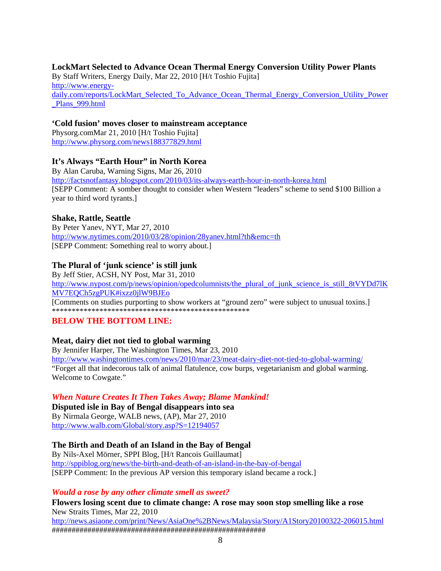## **LockMart Selected to Advance Ocean Thermal Energy Conversion Utility Power Plants**

By Staff Writers, Energy Daily, Mar 22, 2010 [H/t Toshio Fujita] http://www.energydaily.com/reports/LockMart\_Selected\_To\_Advance\_Ocean\_Thermal\_Energy\_Conversion\_Utility\_Power Plans 999.html

#### **'Cold fusion' moves closer to mainstream acceptance**

Physorg.comMar 21, 2010 [H/t Toshio Fujita] http://www.physorg.com/news188377829.html

## **It's Always "Earth Hour" in North Korea**

By Alan Caruba, Warning Signs, Mar 26, 2010 http://factsnotfantasy.blogspot.com/2010/03/its-always-earth-hour-in-north-korea.html [SEPP Comment: A somber thought to consider when Western "leaders" scheme to send \$100 Billion a year to third word tyrants.]

## **Shake, Rattle, Seattle**

By Peter Yanev, NYT, Mar 27, 2010 http://www.nytimes.com/2010/03/28/opinion/28yanev.html?th&emc=th [SEPP Comment: Something real to worry about.]

# **The Plural of 'junk science' is still junk**

By Jeff Stier, ACSH, NY Post, Mar 31, 2010 http://www.nypost.com/p/news/opinion/opedcolumnists/the\_plural\_of\_junk\_science\_is\_still\_8tVYDd7lK MV7EQCh5zgPUK#ixzz0jlW9BJEo [Comments on studies purporting to show workers at "ground zero" were subject to unusual toxins.]

\*\*\*\*\*\*\*\*\*\*\*\*\*\*\*\*\*\*\*\*\*\*\*\*\*\*\*\*\*\*\*\*\*\*\*\*\*\*\*\*\*\*\*\*\*\*\*\*\*\*

# **BELOW THE BOTTOM LINE:**

## **Meat, dairy diet not tied to global warming**

By Jennifer Harper, The Washington Times, Mar 23, 2010 http://www.washingtontimes.com/news/2010/mar/23/meat-dairy-diet-not-tied-to-global-warming/ "Forget all that indecorous talk of animal flatulence, cow burps, vegetarianism and global warming. Welcome to Cowgate."

## *When Nature Creates It Then Takes Away; Blame Mankind!*

**Disputed isle in Bay of Bengal disappears into sea**  By Nirmala George, WALB news, (AP), Mar 27, 2010 http://www.walb.com/Global/story.asp?S=12194057

## **The Birth and Death of an Island in the Bay of Bengal**

By Nils-Axel Mörner, SPPI Blog, [H/t Rancois Guillaumat] http://sppiblog.org/news/the-birth-and-death-of-an-island-in-the-bay-of-bengal [SEPP Comment: In the previous AP version this temporary island became a rock.]

## *Would a rose by any other climate smell as sweet?*

**Flowers losing scent due to climate change: A rose may soon stop smelling like a rose** New Straits Times, Mar 22, 2010 http://news.asiaone.com/print/News/AsiaOne%2BNews/Malaysia/Story/A1Story20100322-206015.html ######################################################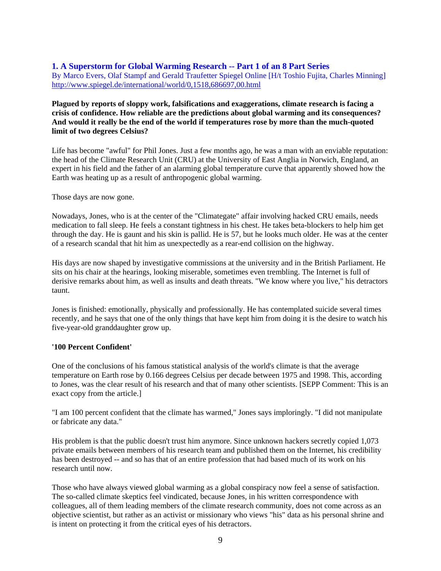## **1. A Superstorm for Global Warming Research -- Part 1 of an 8 Part Series**

By Marco Evers, Olaf Stampf and Gerald Traufetter Spiegel Online [H/t Toshio Fujita, Charles Minning] http://www.spiegel.de/international/world/0,1518,686697,00.html

#### **Plagued by reports of sloppy work, falsifications and exaggerations, climate research is facing a crisis of confidence. How reliable are the predictions about global warming and its consequences? And would it really be the end of the world if temperatures rose by more than the much-quoted limit of two degrees Celsius?**

Life has become "awful" for Phil Jones. Just a few months ago, he was a man with an enviable reputation: the head of the Climate Research Unit (CRU) at the University of East Anglia in Norwich, England, an expert in his field and the father of an alarming global temperature curve that apparently showed how the Earth was heating up as a result of anthropogenic global warming.

Those days are now gone.

Nowadays, Jones, who is at the center of the "Climategate" affair involving hacked CRU emails, needs medication to fall sleep. He feels a constant tightness in his chest. He takes beta-blockers to help him get through the day. He is gaunt and his skin is pallid. He is 57, but he looks much older. He was at the center of a research scandal that hit him as unexpectedly as a rear-end collision on the highway.

His days are now shaped by investigative commissions at the university and in the British Parliament. He sits on his chair at the hearings, looking miserable, sometimes even trembling. The Internet is full of derisive remarks about him, as well as insults and death threats. "We know where you live," his detractors taunt.

Jones is finished: emotionally, physically and professionally. He has contemplated suicide several times recently, and he says that one of the only things that have kept him from doing it is the desire to watch his five-year-old granddaughter grow up.

#### **'100 Percent Confident'**

One of the conclusions of his famous statistical analysis of the world's climate is that the average temperature on Earth rose by 0.166 degrees Celsius per decade between 1975 and 1998. This, according to Jones, was the clear result of his research and that of many other scientists. [SEPP Comment: This is an exact copy from the article.]

"I am 100 percent confident that the climate has warmed," Jones says imploringly. "I did not manipulate or fabricate any data."

His problem is that the public doesn't trust him anymore. Since unknown hackers secretly copied 1,073 private emails between members of his research team and published them on the Internet, his credibility has been destroyed -- and so has that of an entire profession that had based much of its work on his research until now.

Those who have always viewed global warming as a global conspiracy now feel a sense of satisfaction. The so-called climate skeptics feel vindicated, because Jones, in his written correspondence with colleagues, all of them leading members of the climate research community, does not come across as an objective scientist, but rather as an activist or missionary who views "his" data as his personal shrine and is intent on protecting it from the critical eyes of his detractors.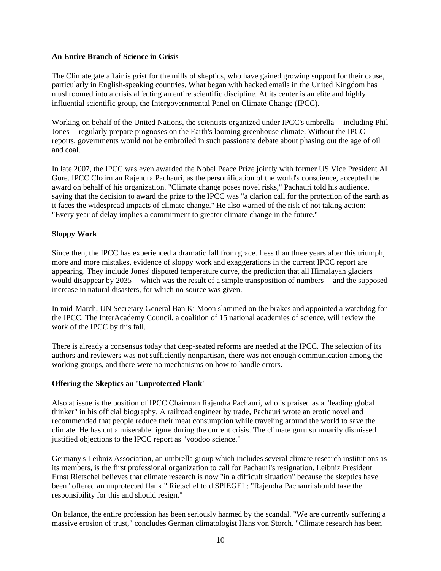#### **An Entire Branch of Science in Crisis**

The Climategate affair is grist for the mills of skeptics, who have gained growing support for their cause, particularly in English-speaking countries. What began with hacked emails in the United Kingdom has mushroomed into a crisis affecting an entire scientific discipline. At its center is an elite and highly influential scientific group, the Intergovernmental Panel on Climate Change (IPCC).

Working on behalf of the United Nations, the scientists organized under IPCC's umbrella -- including Phil Jones -- regularly prepare prognoses on the Earth's looming greenhouse climate. Without the IPCC reports, governments would not be embroiled in such passionate debate about phasing out the age of oil and coal.

In late 2007, the IPCC was even awarded the Nobel Peace Prize jointly with former US Vice President Al Gore. IPCC Chairman Rajendra Pachauri, as the personification of the world's conscience, accepted the award on behalf of his organization. "Climate change poses novel risks," Pachauri told his audience, saying that the decision to award the prize to the IPCC was "a clarion call for the protection of the earth as it faces the widespread impacts of climate change." He also warned of the risk of not taking action: "Every year of delay implies a commitment to greater climate change in the future."

#### **Sloppy Work**

Since then, the IPCC has experienced a dramatic fall from grace. Less than three years after this triumph, more and more mistakes, evidence of sloppy work and exaggerations in the current IPCC report are appearing. They include Jones' disputed temperature curve, the prediction that all Himalayan glaciers would disappear by 2035 -- which was the result of a simple transposition of numbers -- and the supposed increase in natural disasters, for which no source was given.

In mid-March, UN Secretary General Ban Ki Moon slammed on the brakes and appointed a watchdog for the IPCC. The InterAcademy Council, a coalition of 15 national academies of science, will review the work of the IPCC by this fall.

There is already a consensus today that deep-seated reforms are needed at the IPCC. The selection of its authors and reviewers was not sufficiently nonpartisan, there was not enough communication among the working groups, and there were no mechanisms on how to handle errors.

#### **Offering the Skeptics an 'Unprotected Flank'**

Also at issue is the position of IPCC Chairman Rajendra Pachauri, who is praised as a "leading global thinker" in his official biography. A railroad engineer by trade, Pachauri wrote an erotic novel and recommended that people reduce their meat consumption while traveling around the world to save the climate. He has cut a miserable figure during the current crisis. The climate guru summarily dismissed justified objections to the IPCC report as "voodoo science."

Germany's Leibniz Association, an umbrella group which includes several climate research institutions as its members, is the first professional organization to call for Pachauri's resignation. Leibniz President Ernst Rietschel believes that climate research is now "in a difficult situation" because the skeptics have been "offered an unprotected flank." Rietschel told SPIEGEL: "Rajendra Pachauri should take the responsibility for this and should resign."

On balance, the entire profession has been seriously harmed by the scandal. "We are currently suffering a massive erosion of trust," concludes German climatologist Hans von Storch. "Climate research has been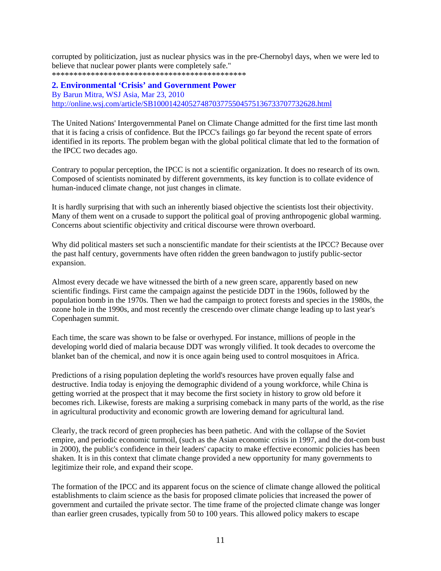corrupted by politicization, just as nuclear physics was in the pre-Chernobyl days, when we were led to believe that nuclear power plants were completely safe." \*\*\*\*\*\*\*\*\*\*\*\*\*\*\*\*\*\*\*\*\*\*\*\*\*\*\*\*\*\*\*\*\*\*\*\*\*\*\*\*\*\*\*\*\*

**2. Environmental 'Crisis' and Government Power**  By Barun Mitra, WSJ Asia, Mar 23, 2010 http://online.wsj.com/article/SB10001424052748703775504575136733707732628.html

The United Nations' Intergovernmental Panel on Climate Change admitted for the first time last month that it is facing a crisis of confidence. But the IPCC's failings go far beyond the recent spate of errors identified in its reports. The problem began with the global political climate that led to the formation of the IPCC two decades ago.

Contrary to popular perception, the IPCC is not a scientific organization. It does no research of its own. Composed of scientists nominated by different governments, its key function is to collate evidence of human-induced climate change, not just changes in climate.

It is hardly surprising that with such an inherently biased objective the scientists lost their objectivity. Many of them went on a crusade to support the political goal of proving anthropogenic global warming. Concerns about scientific objectivity and critical discourse were thrown overboard.

Why did political masters set such a nonscientific mandate for their scientists at the IPCC? Because over the past half century, governments have often ridden the green bandwagon to justify public-sector expansion.

Almost every decade we have witnessed the birth of a new green scare, apparently based on new scientific findings. First came the campaign against the pesticide DDT in the 1960s, followed by the population bomb in the 1970s. Then we had the campaign to protect forests and species in the 1980s, the ozone hole in the 1990s, and most recently the crescendo over climate change leading up to last year's Copenhagen summit.

Each time, the scare was shown to be false or overhyped. For instance, millions of people in the developing world died of malaria because DDT was wrongly vilified. It took decades to overcome the blanket ban of the chemical, and now it is once again being used to control mosquitoes in Africa.

Predictions of a rising population depleting the world's resources have proven equally false and destructive. India today is enjoying the demographic dividend of a young workforce, while China is getting worried at the prospect that it may become the first society in history to grow old before it becomes rich. Likewise, forests are making a surprising comeback in many parts of the world, as the rise in agricultural productivity and economic growth are lowering demand for agricultural land.

Clearly, the track record of green prophecies has been pathetic. And with the collapse of the Soviet empire, and periodic economic turmoil, (such as the Asian economic crisis in 1997, and the dot-com bust in 2000), the public's confidence in their leaders' capacity to make effective economic policies has been shaken. It is in this context that climate change provided a new opportunity for many governments to legitimize their role, and expand their scope.

The formation of the IPCC and its apparent focus on the science of climate change allowed the political establishments to claim science as the basis for proposed climate policies that increased the power of government and curtailed the private sector. The time frame of the projected climate change was longer than earlier green crusades, typically from 50 to 100 years. This allowed policy makers to escape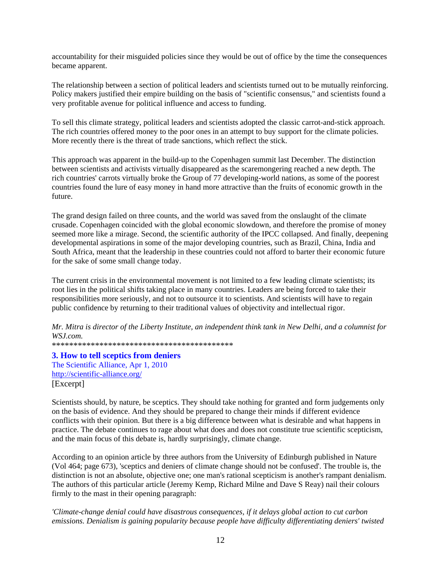accountability for their misguided policies since they would be out of office by the time the consequences became apparent.

The relationship between a section of political leaders and scientists turned out to be mutually reinforcing. Policy makers justified their empire building on the basis of "scientific consensus," and scientists found a very profitable avenue for political influence and access to funding.

To sell this climate strategy, political leaders and scientists adopted the classic carrot-and-stick approach. The rich countries offered money to the poor ones in an attempt to buy support for the climate policies. More recently there is the threat of trade sanctions, which reflect the stick.

This approach was apparent in the build-up to the Copenhagen summit last December. The distinction between scientists and activists virtually disappeared as the scaremongering reached a new depth. The rich countries' carrots virtually broke the Group of 77 developing-world nations, as some of the poorest countries found the lure of easy money in hand more attractive than the fruits of economic growth in the future.

The grand design failed on three counts, and the world was saved from the onslaught of the climate crusade. Copenhagen coincided with the global economic slowdown, and therefore the promise of money seemed more like a mirage. Second, the scientific authority of the IPCC collapsed. And finally, deepening developmental aspirations in some of the major developing countries, such as Brazil, China, India and South Africa, meant that the leadership in these countries could not afford to barter their economic future for the sake of some small change today.

The current crisis in the environmental movement is not limited to a few leading climate scientists; its root lies in the political shifts taking place in many countries. Leaders are being forced to take their responsibilities more seriously, and not to outsource it to scientists. And scientists will have to regain public confidence by returning to their traditional values of objectivity and intellectual rigor.

*Mr. Mitra is director of the Liberty Institute, an independent think tank in New Delhi, and a columnist for WSJ.com.*

\*\*\*\*\*\*\*\*\*\*\*\*\*\*\*\*\*\*\*\*\*\*\*\*\*\*\*\*\*\*\*\*\*\*\*\*\*\*\*\*\*\*

**3. How to tell sceptics from deniers**  The Scientific Alliance, Apr 1, 2010 http://scientific-alliance.org/ [Excerpt]

Scientists should, by nature, be sceptics. They should take nothing for granted and form judgements only on the basis of evidence. And they should be prepared to change their minds if different evidence conflicts with their opinion. But there is a big difference between what is desirable and what happens in practice. The debate continues to rage about what does and does not constitute true scientific scepticism, and the main focus of this debate is, hardly surprisingly, climate change.

According to an opinion article by three authors from the University of Edinburgh published in Nature (Vol 464; page 673), 'sceptics and deniers of climate change should not be confused'. The trouble is, the distinction is not an absolute, objective one; one man's rational scepticism is another's rampant denialism. The authors of this particular article (Jeremy Kemp, Richard Milne and Dave S Reay) nail their colours firmly to the mast in their opening paragraph:

*'Climate-change denial could have disastrous consequences, if it delays global action to cut carbon emissions. Denialism is gaining popularity because people have difficulty differentiating deniers' twisted*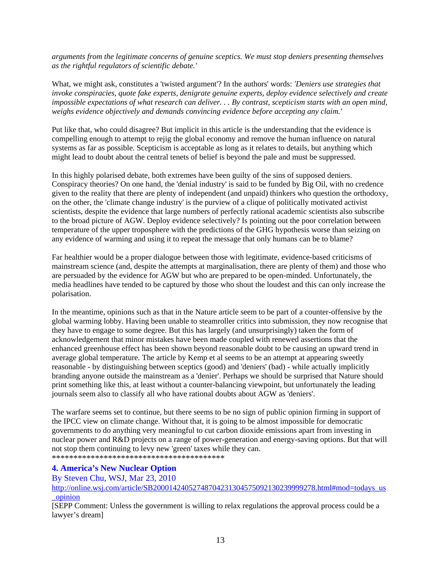*arguments from the legitimate concerns of genuine sceptics. We must stop deniers presenting themselves as the rightful regulators of scientific debate.'* 

What, we might ask, constitutes a 'twisted argument'? In the authors' words: *'Deniers use strategies that invoke conspiracies, quote fake experts, denigrate genuine experts, deploy evidence selectively and create impossible expectations of what research can deliver. . . By contrast, scepticism starts with an open mind, weighs evidence objectively and demands convincing evidence before accepting any claim.'* 

Put like that, who could disagree? But implicit in this article is the understanding that the evidence is compelling enough to attempt to rejig the global economy and remove the human influence on natural systems as far as possible. Scepticism is acceptable as long as it relates to details, but anything which might lead to doubt about the central tenets of belief is beyond the pale and must be suppressed.

In this highly polarised debate, both extremes have been guilty of the sins of supposed deniers. Conspiracy theories? On one hand, the 'denial industry' is said to be funded by Big Oil, with no credence given to the reality that there are plenty of independent (and unpaid) thinkers who question the orthodoxy, on the other, the 'climate change industry' is the purview of a clique of politically motivated activist scientists, despite the evidence that large numbers of perfectly rational academic scientists also subscribe to the broad picture of AGW. Deploy evidence selectively? Is pointing out the poor correlation between temperature of the upper troposphere with the predictions of the GHG hypothesis worse than seizing on any evidence of warming and using it to repeat the message that only humans can be to blame?

Far healthier would be a proper dialogue between those with legitimate, evidence-based criticisms of mainstream science (and, despite the attempts at marginalisation, there are plenty of them) and those who are persuaded by the evidence for AGW but who are prepared to be open-minded. Unfortunately, the media headlines have tended to be captured by those who shout the loudest and this can only increase the polarisation.

In the meantime, opinions such as that in the Nature article seem to be part of a counter-offensive by the global warming lobby. Having been unable to steamroller critics into submission, they now recognise that they have to engage to some degree. But this has largely (and unsurprisingly) taken the form of acknowledgement that minor mistakes have been made coupled with renewed assertions that the enhanced greenhouse effect has been shown beyond reasonable doubt to be causing an upward trend in average global temperature. The article by Kemp et al seems to be an attempt at appearing sweetly reasonable - by distinguishing between sceptics (good) and 'deniers' (bad) - while actually implicitly branding anyone outside the mainstream as a 'denier'. Perhaps we should be surprised that Nature should print something like this, at least without a counter-balancing viewpoint, but unfortunately the leading journals seem also to classify all who have rational doubts about AGW as 'deniers'.

The warfare seems set to continue, but there seems to be no sign of public opinion firming in support of the IPCC view on climate change. Without that, it is going to be almost impossible for democratic governments to do anything very meaningful to cut carbon dioxide emissions apart from investing in nuclear power and R&D projects on a range of power-generation and energy-saving options. But that will not stop them continuing to levy new 'green' taxes while they can. \*\*\*\*\*\*\*\*\*\*\*\*\*\*\*\*\*\*\*\*\*\*\*\*\*\*\*\*\*\*\*\*\*\*\*\*\*\*\*\*

## **4. America's New Nuclear Option**

By Steven Chu, WSJ, Mar 23, 2010

http://online.wsj.com/article/SB20001424052748704231304575092130239999278.html#mod=todays\_us \_opinion

[SEPP Comment: Unless the government is willing to relax regulations the approval process could be a lawyer's dream]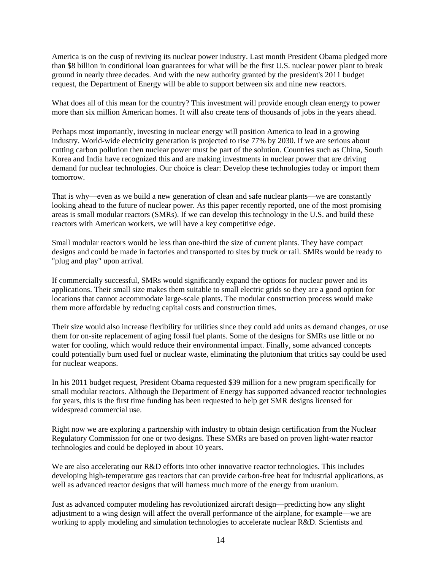America is on the cusp of reviving its nuclear power industry. Last month President Obama pledged more than \$8 billion in conditional loan guarantees for what will be the first U.S. nuclear power plant to break ground in nearly three decades. And with the new authority granted by the president's 2011 budget request, the Department of Energy will be able to support between six and nine new reactors.

What does all of this mean for the country? This investment will provide enough clean energy to power more than six million American homes. It will also create tens of thousands of jobs in the years ahead.

Perhaps most importantly, investing in nuclear energy will position America to lead in a growing industry. World-wide electricity generation is projected to rise 77% by 2030. If we are serious about cutting carbon pollution then nuclear power must be part of the solution. Countries such as China, South Korea and India have recognized this and are making investments in nuclear power that are driving demand for nuclear technologies. Our choice is clear: Develop these technologies today or import them tomorrow.

That is why—even as we build a new generation of clean and safe nuclear plants—we are constantly looking ahead to the future of nuclear power. As this paper recently reported, one of the most promising areas is small modular reactors (SMRs). If we can develop this technology in the U.S. and build these reactors with American workers, we will have a key competitive edge.

Small modular reactors would be less than one-third the size of current plants. They have compact designs and could be made in factories and transported to sites by truck or rail. SMRs would be ready to "plug and play" upon arrival.

If commercially successful, SMRs would significantly expand the options for nuclear power and its applications. Their small size makes them suitable to small electric grids so they are a good option for locations that cannot accommodate large-scale plants. The modular construction process would make them more affordable by reducing capital costs and construction times.

Their size would also increase flexibility for utilities since they could add units as demand changes, or use them for on-site replacement of aging fossil fuel plants. Some of the designs for SMRs use little or no water for cooling, which would reduce their environmental impact. Finally, some advanced concepts could potentially burn used fuel or nuclear waste, eliminating the plutonium that critics say could be used for nuclear weapons.

In his 2011 budget request, President Obama requested \$39 million for a new program specifically for small modular reactors. Although the Department of Energy has supported advanced reactor technologies for years, this is the first time funding has been requested to help get SMR designs licensed for widespread commercial use.

Right now we are exploring a partnership with industry to obtain design certification from the Nuclear Regulatory Commission for one or two designs. These SMRs are based on proven light-water reactor technologies and could be deployed in about 10 years.

We are also accelerating our R&D efforts into other innovative reactor technologies. This includes developing high-temperature gas reactors that can provide carbon-free heat for industrial applications, as well as advanced reactor designs that will harness much more of the energy from uranium.

Just as advanced computer modeling has revolutionized aircraft design—predicting how any slight adjustment to a wing design will affect the overall performance of the airplane, for example—we are working to apply modeling and simulation technologies to accelerate nuclear R&D. Scientists and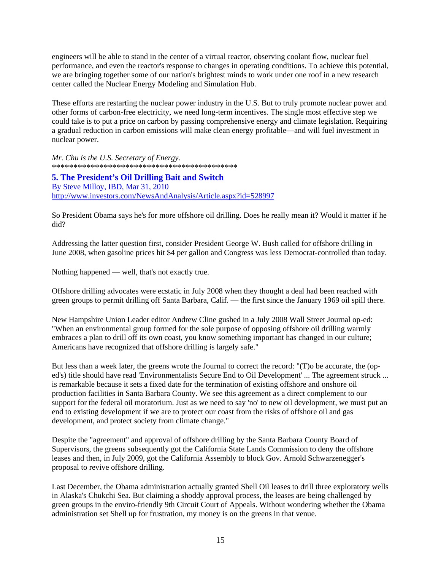engineers will be able to stand in the center of a virtual reactor, observing coolant flow, nuclear fuel performance, and even the reactor's response to changes in operating conditions. To achieve this potential, we are bringing together some of our nation's brightest minds to work under one roof in a new research center called the Nuclear Energy Modeling and Simulation Hub.

These efforts are restarting the nuclear power industry in the U.S. But to truly promote nuclear power and other forms of carbon-free electricity, we need long-term incentives. The single most effective step we could take is to put a price on carbon by passing comprehensive energy and climate legislation. Requiring a gradual reduction in carbon emissions will make clean energy profitable—and will fuel investment in nuclear power.

*Mr. Chu is the U.S. Secretary of Energy.* \*\*\*\*\*\*\*\*\*\*\*\*\*\*\*\*\*\*\*\*\*\*\*\*\*\*\*\*\*\*\*\*\*\*\*\*\*\*\*\*\*\*\* **5. The President's Oil Drilling Bait and Switch**  By Steve Milloy, IBD, Mar 31, 2010 http://www.investors.com/NewsAndAnalysis/Article.aspx?id=528997

So President Obama says he's for more offshore oil drilling. Does he really mean it? Would it matter if he did?

Addressing the latter question first, consider President George W. Bush called for offshore drilling in June 2008, when gasoline prices hit \$4 per gallon and Congress was less Democrat-controlled than today.

Nothing happened — well, that's not exactly true.

Offshore drilling advocates were ecstatic in July 2008 when they thought a deal had been reached with green groups to permit drilling off Santa Barbara, Calif. — the first since the January 1969 oil spill there.

New Hampshire Union Leader editor Andrew Cline gushed in a July 2008 Wall Street Journal op-ed: "When an environmental group formed for the sole purpose of opposing offshore oil drilling warmly embraces a plan to drill off its own coast, you know something important has changed in our culture; Americans have recognized that offshore drilling is largely safe."

But less than a week later, the greens wrote the Journal to correct the record: "(T)o be accurate, the (oped's) title should have read 'Environmentalists Secure End to Oil Development' ... The agreement struck ... is remarkable because it sets a fixed date for the termination of existing offshore and onshore oil production facilities in Santa Barbara County. We see this agreement as a direct complement to our support for the federal oil moratorium. Just as we need to say 'no' to new oil development, we must put an end to existing development if we are to protect our coast from the risks of offshore oil and gas development, and protect society from climate change."

Despite the "agreement" and approval of offshore drilling by the Santa Barbara County Board of Supervisors, the greens subsequently got the California State Lands Commission to deny the offshore leases and then, in July 2009, got the California Assembly to block Gov. Arnold Schwarzenegger's proposal to revive offshore drilling.

Last December, the Obama administration actually granted Shell Oil leases to drill three exploratory wells in Alaska's Chukchi Sea. But claiming a shoddy approval process, the leases are being challenged by green groups in the enviro-friendly 9th Circuit Court of Appeals. Without wondering whether the Obama administration set Shell up for frustration, my money is on the greens in that venue.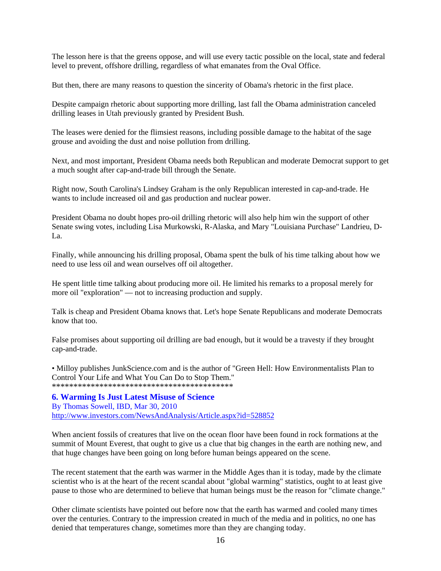The lesson here is that the greens oppose, and will use every tactic possible on the local, state and federal level to prevent, offshore drilling, regardless of what emanates from the Oval Office.

But then, there are many reasons to question the sincerity of Obama's rhetoric in the first place.

Despite campaign rhetoric about supporting more drilling, last fall the Obama administration canceled drilling leases in Utah previously granted by President Bush.

The leases were denied for the flimsiest reasons, including possible damage to the habitat of the sage grouse and avoiding the dust and noise pollution from drilling.

Next, and most important, President Obama needs both Republican and moderate Democrat support to get a much sought after cap-and-trade bill through the Senate.

Right now, South Carolina's Lindsey Graham is the only Republican interested in cap-and-trade. He wants to include increased oil and gas production and nuclear power.

President Obama no doubt hopes pro-oil drilling rhetoric will also help him win the support of other Senate swing votes, including Lisa Murkowski, R-Alaska, and Mary "Louisiana Purchase" Landrieu, D-La.

Finally, while announcing his drilling proposal, Obama spent the bulk of his time talking about how we need to use less oil and wean ourselves off oil altogether.

He spent little time talking about producing more oil. He limited his remarks to a proposal merely for more oil "exploration" — not to increasing production and supply.

Talk is cheap and President Obama knows that. Let's hope Senate Republicans and moderate Democrats know that too.

False promises about supporting oil drilling are bad enough, but it would be a travesty if they brought cap-and-trade.

• Milloy publishes JunkScience.com and is the author of "Green Hell: How Environmentalists Plan to Control Your Life and What You Can Do to Stop Them." \*\*\*\*\*\*\*\*\*\*\*\*\*\*\*\*\*\*\*\*\*\*\*\*\*\*\*\*\*\*\*\*\*\*\*\*\*\*\*\*\*\*

#### **6. Warming Is Just Latest Misuse of Science**

By Thomas Sowell, IBD, Mar 30, 2010 http://www.investors.com/NewsAndAnalysis/Article.aspx?id=528852

When ancient fossils of creatures that live on the ocean floor have been found in rock formations at the summit of Mount Everest, that ought to give us a clue that big changes in the earth are nothing new, and that huge changes have been going on long before human beings appeared on the scene.

The recent statement that the earth was warmer in the Middle Ages than it is today, made by the climate scientist who is at the heart of the recent scandal about "global warming" statistics, ought to at least give pause to those who are determined to believe that human beings must be the reason for "climate change."

Other climate scientists have pointed out before now that the earth has warmed and cooled many times over the centuries. Contrary to the impression created in much of the media and in politics, no one has denied that temperatures change, sometimes more than they are changing today.